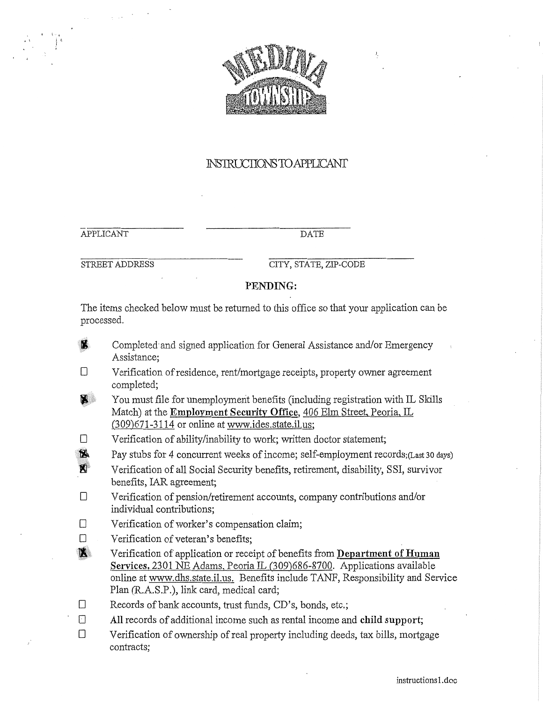

## INSTRUCTIONSTO APPLICANT

**APPLICANT** 

**DATE** 

STREET ADDRESS

CITY, STATE, ZIP-CODE

#### PENDING:

The items checked below must be returned to this office so that your application can be processed.

**N** 

Completed and signed application for General Assistance and/or Emergency Assistance:

- $\Box$ Verification of residence, rent/mortgage receipts, property owner agreement completed;
- $\mathbf{Z}$ You must file for unemployment benefits (including registration with IL Skills Match) at the Employment Security Office, 406 Elm Street, Peoria, IL (309)671-3114 or online at www.ides.state.il.us;
- $\Box$ Verification of ability/inability to work; written doctor statement;
- $\mathbf{z}$ Pay stubs for 4 concurrent weeks of income; self-employment records; (Last 30 days)
- $\mathbf{X}^{\dagger}$ Verification of all Social Security benefits, retirement, disability, SSI, survivor benefits, IAR agreement;
- $\Box$ Verification of pension/retirement accounts, company contributions and/or individual contributions:
- $\Box$ Verification of worker's compensation claim;
- $\Box$ Verification of veteran's benefits;
- $\mathbf{N}$ Verification of application or receipt of benefits from Department of Human Services, 2301 NE Adams, Peoria IL (309)686-8700. Applications available online at www.dhs.state.il.us. Benefits include TANF, Responsibility and Service Plan (R.A.S.P.), link card, medical card;
- Records of bank accounts, trust funds, CD's, bonds, etc.;  $\Box$
- $\Box$ All records of additional income such as rental income and child support;
- $\Box$ Verification of ownership of real property including deeds, tax bills, mortgage contracts;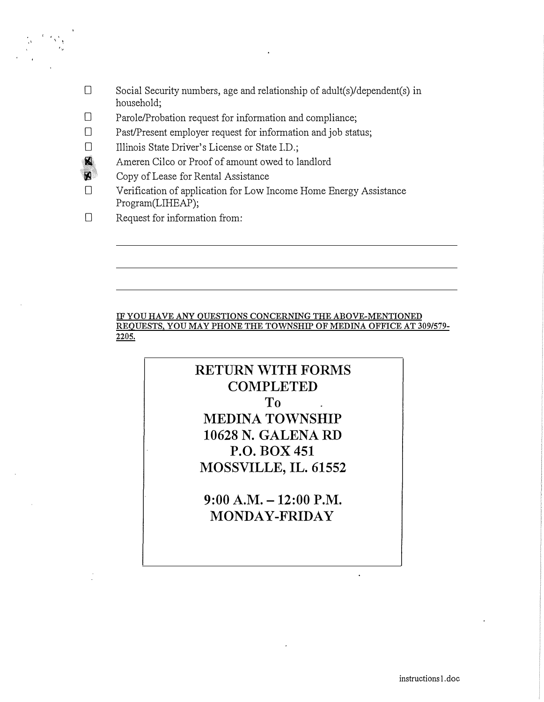- $\square$  Social Security numbers, age and relationship of adult(s)/dependent(s) in household;
- D Parole/Probation request for information and compliance;
- D Past/Present employer request for information and job status;
- D Illinois State Driver's License or State I.D.;
- � Ameren Cilco or Proof of amount owed to landlord
- $\blacksquare$  Copy of Lease for Rental Assistance<br>  $\Box$  Verification of application for Low I
	- Verification of application for Low Income Home Energy Assistance Program(LIHEAP);
- D Request for information from:

#### **IF YOU HA VE ANY QUESTIONS CONCERNING THE ABOVE-MENTIONED REQUESTS, YOU MAY PHONE THE TOWNSHIP OF MEDINA OFFICE AT 309/579- 2205.**

# **RETURN WITH FORMS COMPLETED To MEDINA TOWNSHIP 10628 N. GALENA RD P.O. BOX 451 MOSSVILLE, IL. 61552**

**9:00 A.M. -12:00 P.M. MONDAY-FRIDAY**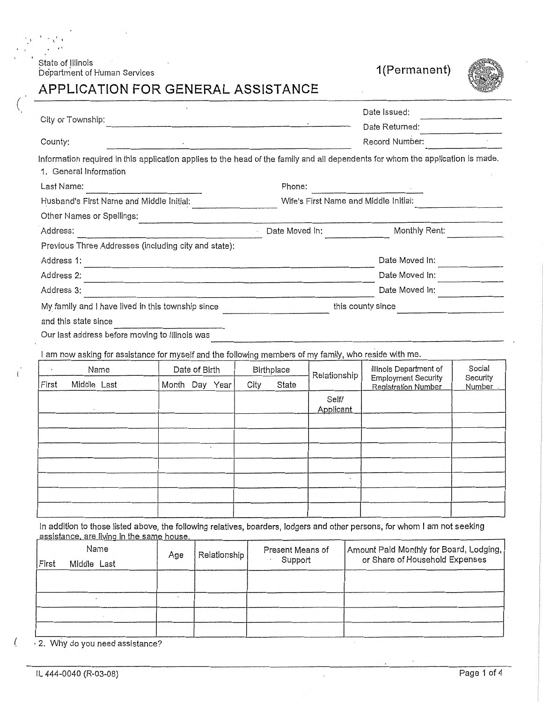State of Illinois<br>Department of Human Services



# APPLICATION FOR GENERAL ASSISTANCE

|                                                                                                                                                           |                |  |      |            | Date Issued:                          |                                                          |                     |
|-----------------------------------------------------------------------------------------------------------------------------------------------------------|----------------|--|------|------------|---------------------------------------|----------------------------------------------------------|---------------------|
| City or Township:                                                                                                                                         |                |  |      |            |                                       | Date Returned:                                           |                     |
| County:                                                                                                                                                   |                |  |      |            |                                       | Record Number:                                           |                     |
| Information required in this application applies to the head of the family and all dependents for whom the application is made.<br>1. General Information |                |  |      |            |                                       |                                                          |                     |
| Last Name:                                                                                                                                                |                |  |      | Phone:     |                                       |                                                          |                     |
| Husband's First Name and Middle Initial: _________________                                                                                                |                |  |      |            | Wife's First Name and Middle Initial: |                                                          |                     |
| Other Names or Spellings:                                                                                                                                 |                |  |      |            |                                       |                                                          |                     |
| Address:                                                                                                                                                  | $\overline{a}$ |  |      |            |                                       | Date Moved In: Monthly Rent: Monthly Rent:               |                     |
| Previous Three Addresses (including city and state):                                                                                                      |                |  |      |            |                                       |                                                          |                     |
| Address 1:                                                                                                                                                |                |  |      |            |                                       | Date Moved In:                                           |                     |
| Address 2:                                                                                                                                                |                |  |      |            |                                       | Date Moved In:                                           |                     |
| Address 3:                                                                                                                                                |                |  |      |            |                                       | Date Moved In:                                           |                     |
| My family and I have lived in this township since                                                                                                         |                |  |      |            |                                       | this county since                                        |                     |
| and this state since                                                                                                                                      |                |  |      |            |                                       |                                                          |                     |
| Our last address before moving to Illinois was                                                                                                            |                |  |      |            |                                       |                                                          |                     |
| I am now asking for assistance for myself and the following members of my family, who reside with me.                                                     |                |  |      |            |                                       |                                                          |                     |
| Name                                                                                                                                                      | Date of Birth  |  |      | Birthplace |                                       | Illinois Department of                                   | Social              |
| Middle Last<br>First                                                                                                                                      | Month Day Year |  | City | State      | Relationship                          | <b>Employment Security</b><br><b>Registration Number</b> | Security<br>Number. |
|                                                                                                                                                           |                |  |      |            | Self/<br>Applicant                    |                                                          |                     |
|                                                                                                                                                           |                |  |      |            |                                       |                                                          |                     |
|                                                                                                                                                           |                |  |      |            |                                       |                                                          |                     |
|                                                                                                                                                           |                |  |      |            |                                       |                                                          |                     |
|                                                                                                                                                           |                |  |      |            | $\overline{a}$                        |                                                          |                     |
|                                                                                                                                                           |                |  |      |            |                                       |                                                          |                     |
|                                                                                                                                                           |                |  |      |            |                                       |                                                          |                     |
|                                                                                                                                                           |                |  |      |            |                                       |                                                          |                     |

| First | <u>abolotarioo, aro living ili tho barno houbo.</u><br>Name<br>Middle Last | Age | Relationship | Present Means of<br>Support | Amount Paid Monthly for Board, Lodging,<br>or Share of Household Expenses |
|-------|----------------------------------------------------------------------------|-----|--------------|-----------------------------|---------------------------------------------------------------------------|
|       |                                                                            |     |              |                             |                                                                           |
|       |                                                                            |     |              |                             |                                                                           |
|       |                                                                            |     |              |                             |                                                                           |
|       |                                                                            |     |              |                             |                                                                           |

 $\ddot{\phantom{a}}$ 

2. Why do you need assistance?

 $\sqrt{2}$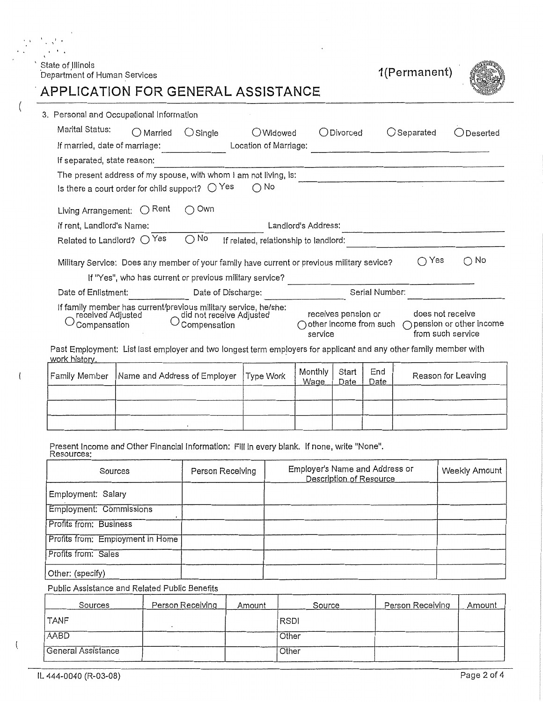# ` State of Illinois<br>Department of Human Services

 $\bullet$ 

 $\left\{ \right.$ 

 $\left\{ \right.$ 

 $\overline{\mathcal{L}}$ 

1(Permanent)



# APPLICATION FOR GENERAL ASSISTANCE

 $\mathbf{r}$ 

 $\sim$   $\sim$ 

| 3.Personal and Occupational Information                                                                                            |                                                          |                                                                                                                                                       |                                       |                        |                     |                        |                                       |                         |
|------------------------------------------------------------------------------------------------------------------------------------|----------------------------------------------------------|-------------------------------------------------------------------------------------------------------------------------------------------------------|---------------------------------------|------------------------|---------------------|------------------------|---------------------------------------|-------------------------|
| Marital Status:                                                                                                                    | $\bigcirc$ Married                                       | $\bigcirc$ Single                                                                                                                                     | ○Widowed                              |                        | $O$ Divorced        |                        | $\bigcirc$ Separated                  | Deserted                |
| If married, date of marriage:                                                                                                      |                                                          |                                                                                                                                                       | Location of Marriage:                 |                        |                     |                        |                                       |                         |
| If separated, state reason:                                                                                                        |                                                          |                                                                                                                                                       |                                       |                        |                     |                        |                                       |                         |
|                                                                                                                                    |                                                          | The present address of my spouse, with whom I am not living, is:                                                                                      |                                       |                        |                     |                        |                                       |                         |
|                                                                                                                                    | Is there a court order for child support? $\bigcirc$ Yes |                                                                                                                                                       | ∩ No                                  |                        |                     |                        |                                       |                         |
| Living Arrangement:                                                                                                                | $\bigcap$ Rent                                           | Own                                                                                                                                                   |                                       |                        |                     |                        |                                       |                         |
| If rent, Landlord's Name:                                                                                                          |                                                          |                                                                                                                                                       |                                       | Landlord's Address:    |                     |                        |                                       |                         |
| Related to Landlord? $\bigcirc$ Yes                                                                                                |                                                          | No<br>∩                                                                                                                                               | If related, relationship to landlord: |                        |                     |                        |                                       |                         |
|                                                                                                                                    |                                                          | Military Service: Does any member of your family have current or previous military sevice?<br>If "Yes", who has current or previous military service? |                                       |                        |                     |                        | Yes<br>$\left( \right)$               | $\bigcirc$ No           |
| Date of Enlistment:                                                                                                                |                                                          | Date of Discharge:                                                                                                                                    |                                       |                        |                     | Serial Number:         |                                       |                         |
| received Adjusted<br>Compensation                                                                                                  |                                                          | If family member has current/previous military service, he/she:<br>did not receive Adjusted<br>Compensation                                           |                                       | service                | receives pension or | other income from such | does not receive<br>from such service | pension or other income |
| Past Employment: List last employer and two longest term employers for applicant and any other family member with<br>work history. |                                                          |                                                                                                                                                       |                                       |                        |                     |                        |                                       |                         |
| Family Member                                                                                                                      | Name and Address of Employer                             |                                                                                                                                                       | Type Work                             | Monthly<br><u>Wage</u> | Start<br>Date       | End<br>Date            |                                       | Reason for Leaving      |
|                                                                                                                                    |                                                          |                                                                                                                                                       |                                       |                        |                     |                        |                                       |                         |

| Present Income and Other Financial Information: Fill in every blank. If none, write "None".<br>Resources: |  |  |
|-----------------------------------------------------------------------------------------------------------|--|--|
|-----------------------------------------------------------------------------------------------------------|--|--|

| Sources                          | Person Receiving | Employer's Name and Address or<br>Description of Resource | Weekly Amount |
|----------------------------------|------------------|-----------------------------------------------------------|---------------|
| Employment: Salary               |                  |                                                           |               |
| <b>Employment: Commissions</b>   |                  |                                                           |               |
| Profits from: Business           |                  |                                                           |               |
| Profits from: Employment in Home |                  |                                                           |               |
| Profits from: Sales              |                  |                                                           |               |
| Other: (specify)                 |                  |                                                           |               |

Public Assistance and Related Public Benefits

| Sources                   | Person Receiving | Amount | Source      | Person Receiving | Amount |
|---------------------------|------------------|--------|-------------|------------------|--------|
| l TANF                    |                  |        | <b>RSDI</b> |                  |        |
| <b>AABD</b>               |                  |        | Other       |                  |        |
| <b>General Assistance</b> |                  |        | Other       |                  |        |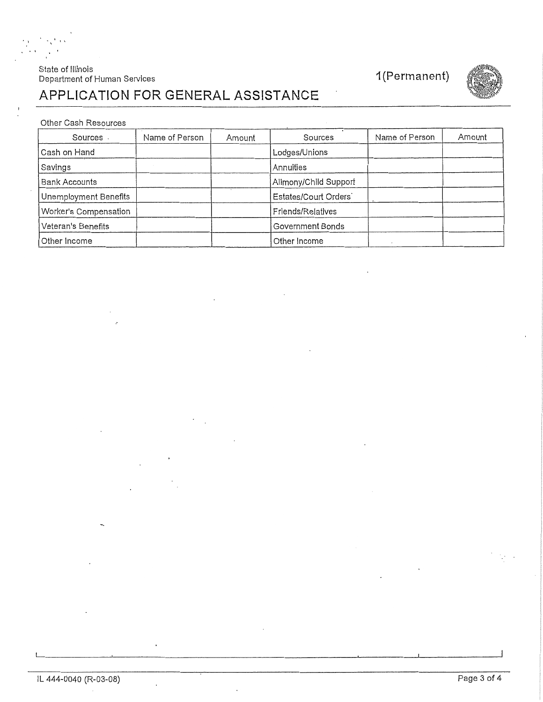### State of Illinois Department of Human Services



# APPLICATION FOR GENERAL ASSISTANCE

#### Other Cash Resources

| Sources               | Name of Person | Amount | Sources               | Name of Person | Amount |
|-----------------------|----------------|--------|-----------------------|----------------|--------|
| Cash on Hand          |                |        | Lodges/Unions         |                |        |
| Savings               |                |        | Annuities             |                |        |
| <b>Bank Accounts</b>  |                |        | Alimony/Child Support |                |        |
| Unemployment Benefits |                |        | Estates/Court Orders  |                |        |
| Worker's Compensation |                |        | Friends/Relatives     |                |        |
| Veteran's Benefits    |                |        | Government Bonds      |                |        |
| Other Income          |                |        | Other Income          |                |        |

 $\ddot{\phantom{1}}$ 

 $\ddot{\phantom{a}}$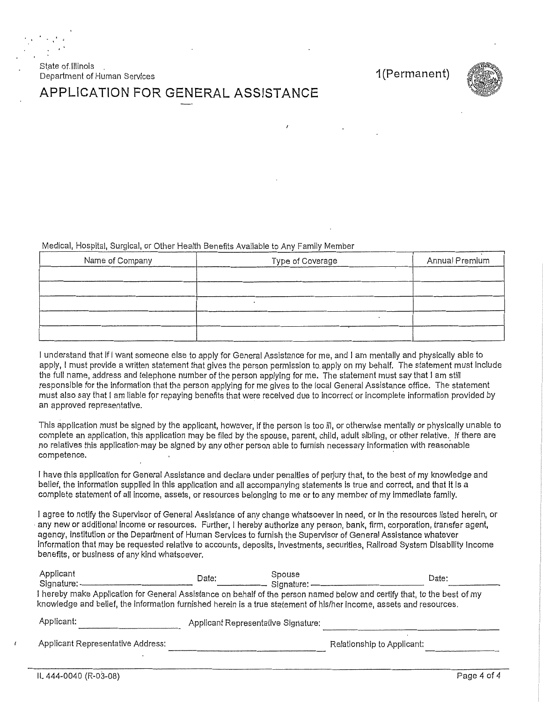State of Illinois Department of Human Services

1(Permanent)



# APPLICATION FOR GENERAL ASSISTANCE

Medical, Hospital, Surgical, or Other Health Benefits Available to Any Family Member

| Name of Company | Type of Coverage | Annual Premium |
|-----------------|------------------|----------------|
|                 |                  |                |
|                 |                  |                |
|                 |                  |                |
|                 |                  |                |
|                 |                  |                |

I understand that if I want someone else to apply for General Assistance for me, and I am mentally and physically able to apply, I must provide a written statement that gives the person permission to apply on my behalf. The statement must include the full name, address and telephone number of the person applying for me. The statement must say that I am still responsible for the information that the person applying for me gives to the local General Assistance office. The statement must also say that I am liable for repaying benefits that were received due to incorrect or incomplete information provided by an approved representative.

This application must be signed by the applicant, however, if the person is too ill, or otherwise mentally or physically unable to complete an application, this application may be filed by the spouse, parent, child, adult sibling, or other relative. If there are no relatives this application may be signed by any other person able to furnish necessary information with reasonable competence.

I have this application for General Assistance and declare under penalties of perjury that, to the best of my knowledge and belief, the information supplied in this application and all accompanying statements is true and correct, and that it is a complete statement of all income, assets, or resources belonging to me or to any member of my immediate family.

I agree to notify the Supervisor of General Assistance of any change whatsoever in need, or in the resources listed herein, or any new or additional income or resources. Further, I hereby authorize any person, bank, firm, corporation, transfer agent, agency, institution or the Department of Human Services to furnish the Supervisor of General Assistance whatever information that may be requested relative to accounts, deposits, investments, securities, Railroad System Disability Income benefits, or business of any kind whatsoever.

| Applicant<br>Signature: -                                                                                                                                                                                                                       | Date:                               | Spouse<br>Signature: - | Date:                      |  |  |
|-------------------------------------------------------------------------------------------------------------------------------------------------------------------------------------------------------------------------------------------------|-------------------------------------|------------------------|----------------------------|--|--|
| I hereby make Application for General Assistance on behalf of the person named below and certify that, to the best of my<br>knowledge and belief, the information furnished herein is a true statement of his/her income, assets and resources. |                                     |                        |                            |  |  |
| Applicant:                                                                                                                                                                                                                                      | Applicant Representative Signature: |                        |                            |  |  |
| Applicant Representative Address:                                                                                                                                                                                                               |                                     |                        | Relationship to Applicant: |  |  |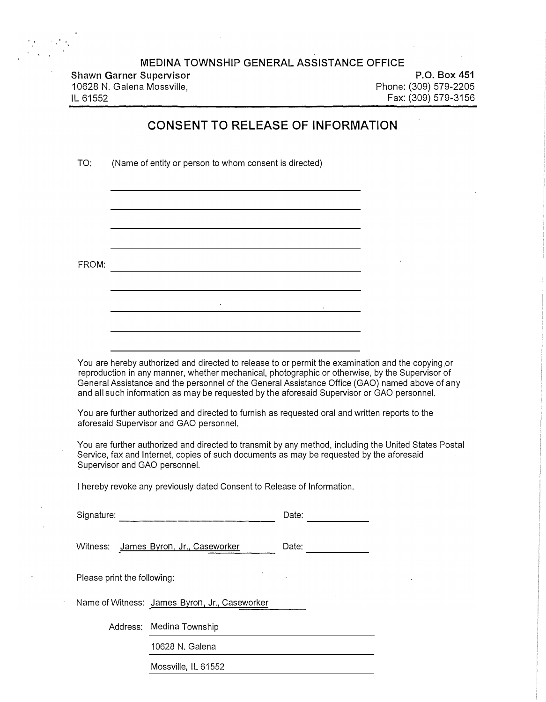**Shawn Garner Supervisor**  10628 N. Galena Mossville, IL 61552

**P.O. Box 451**  Phone: (309) 579-2205 Fax: (309) 579-3156

### **CONSENT TO RELEASE OF INFORMATION**

TO: (Name of entity or person to whom consent is directed)

FROM:

You are hereby authorized and directed to release to or permit the examination and the copying or reproduction in any manner, whether mechanical, photographic or otherwise, by the Supervisor of General Assistance and the personnel of the General Assistance Office (GAO) named above of any and all such information as may be requested by the aforesaid Supervisor or GAO personnel.

You are further authorized and directed to furnish as requested oral and written reports to the aforesaid Supervisor and GAO personnel.

 $\mathbb{R}^2$ 

You are further authorized and directed to transmit by any method, including the United States Postal Service, fax and Internet, copies of such documents as may be requested by the aforesaid Supervisor and GAO personnel.

I hereby revoke any previously dated Consent to Release of Information.

| Signature:                  |                                               | Date: |  |
|-----------------------------|-----------------------------------------------|-------|--|
|                             | Witness: James Byron, Jr., Caseworker         | Date: |  |
| Please print the following: |                                               |       |  |
|                             | Name of Witness: James Byron, Jr., Caseworker |       |  |
|                             | Address: Medina Township                      |       |  |
|                             | 10628 N. Galena                               |       |  |
|                             | Mossville, IL 61552                           |       |  |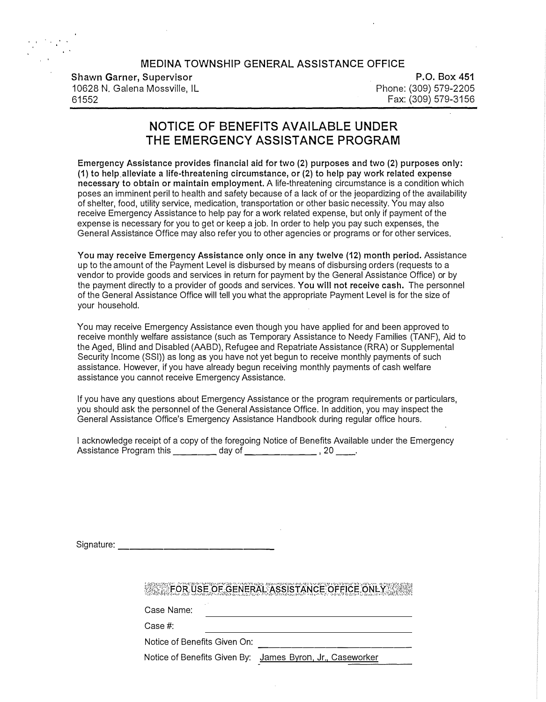| Shawn Garner, Supervisor      |  |  |  |  |  |  |
|-------------------------------|--|--|--|--|--|--|
| 10628 N. Galena Mossville, IL |  |  |  |  |  |  |
| 61552                         |  |  |  |  |  |  |

. . .

**P.O. Box 451**  Phone: (309) 579-2205 Fax: (309) 579-3156

# **NOTICE OF BENEFITS AVAILABLE UNDER THE EMERGENCY ASSISTANCE PROGRAM**

**Emergency Assistance provides financial aid for two (2) purposes and two (2) purposes only: (1) to help alleviate a life-threatening circumstance, or (2) to help pay work related expense necessary to obtain or maintain employment.** A life-threatening circumstance is a condition which poses an imminent peril to health and safety because of a lack of or the jeopardizing of the availability of shelter, food, utility service, medication, transportation or other basic necessity. You may also receive Emergency Assistance to help pay for a work related expense, but only if payment of the expense is necessary for you to get or keep a job. In order to help you pay such expenses, the General Assistance Office may also refer you to other agencies or programs or for other services.

**You may receive Emergency Assistance only once in any twelve (12) month period.** Assistance up to the amount of the Payment Level is disbursed by means of disbursing orders (requests to a vendor to provide goods and services in return for payment by the General Assistance Office) or by the payment directly to a provider of goods and services. **You will not receive cash.** The personnel of the General Assistance Office will tell you what the appropriate Payment Level is for the size of your household.

You may receive Emergency Assistance even though you have applied for and been approved to receive monthly welfare assistance (such as Temporary Assistance to Needy Families (TANF), Aid to the Aged, Blind and Disabled (AABD), Refugee and Repatriate Assistance (RRA) or Supplemental Security Income (SSI)) as long as you have not yet begun to receive monthly payments of such assistance. However, if you have already begun receiving monthly payments of cash welfare assistance you cannot receive Emergency Assistance.

If you have any questions about Emergency Assistance or the program requirements or particulars, you should ask the personnel of the General Assistance Office. In addition, you may inspect the General Assistance Office's Emergency Assistance Handbook during regular office hours.

| I acknowledge receipt of a copy of the foregoing Notice of Benefits Available under the Emergency |        |  |
|---------------------------------------------------------------------------------------------------|--------|--|
| Assistance Program this                                                                           | day of |  |

Signature: \_\_

## FOR USE OF GENERAL ASSISTANCE OFFICE ONLY

Case Name:

Case#:

Notice of Benefits Given On:

Notice of Benefits Given By: James Byron, Jr., Caseworker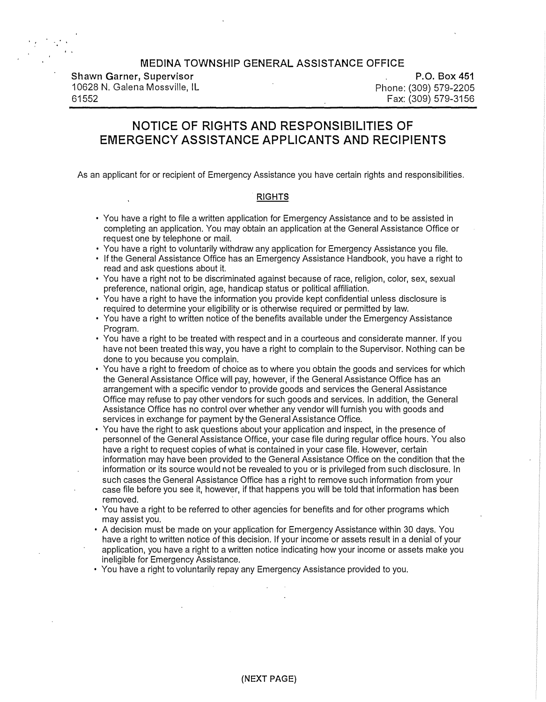**Shawn Garner, Supervisor**  10628 N. Galena Mossville, IL 61552

**P.O. Box 451**  Phone: (309) 579-2205 Fax: (309) 579-3156

# **NOTICE OF RIGHTS AND RESPONSIBILITIES OF EMERGENCY ASSISTANCE APPLICANTS AND RECIPIENTS**

As an applicant for or recipient of Emergency Assistance you have certain rights and responsibilities.

#### **RIGHTS**

- You have a right to file a written application for Emergency Assistance and to be assisted in completing an application. You may obtain an application at the General Assistance Office or request one by telephone or mail.
- You have a right to voluntarily withdraw any application for Emergency Assistance you file.
- If the General Assistance Office has an Emergency Assistance Handbook, you have a right to read and ask questions about it.
- You have a right not to be discriminated against because of race, religion, color, sex, sexual preference, national origin, age, handicap status or political affiliation.
- You have a right to have the information you provide kept confidential unless disclosure is required to determine your eligibility or is otherwise required or permitted by law.
- You have a right to written notice of the benefits available under the Emergency Assistance Program.
- You have a right to be treated with respect and in a courteous and considerate manner. If you have not been treated this way, you have a right to complain to the Supervisor. Nothing can be done to you because you complain.
- You have a right to freedom of choice as to where you obtain the goods and services for which the General Assistance Office will pay, however, if the General Assistance Office has an arrangement with a specific vendor to provide goods and services the General Assistance Office may refuse to pay other vendors for such goods and services. In addition, the General Assistance Office has no control over whether any vendor will furnish you with goods and services in exchange for payment by the General Assistance Office.
- You have the right to ask questions about your application and inspect, in the presence of personnel of the General Assistance Office, your case file during regular office hours. You also have a right to request copies of what is contained in your case file. However, certain information may have been provided to the General Assistance Office on the condition that the information or its source would not be revealed to you or is privileged from such disclosure. In such cases the General Assistance Office has a right to remove such information from your case file before you see it, however, if that happens you will be told that information has been removed.
- You have a right to be referred to other agencies for benefits and for other programs which may assist you.
- A decision must be made on your application for Emergency Assistance within 30 days. You have a right to written notice of this decision. If your income or assets result in a denial of your application, you have a right to a written notice indicating how your income or assets make you ineligible for Emergency Assistance.
- You have a right to voluntarily repay any Emergency Assistance provided to you.

**(NEXT PAGE)**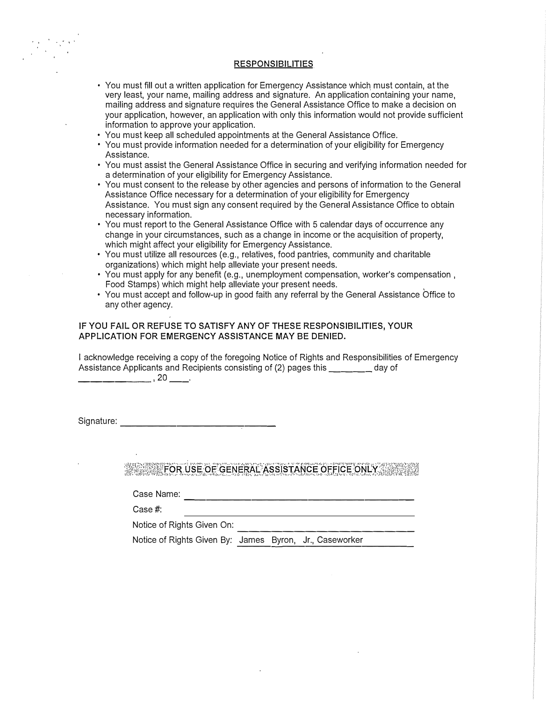#### **RESPONSIBILITIES**

- You must fill out a written application for Emergency Assistance which must contain, at the very least, your name, mailing address and signature. An application containing your name, mailing address and signature requires the General Assistance Office to make a decision on your application, however, an application with only this information would not provide sufficient information to approve your application.
- You must keep all scheduled appointments at the General Assistance Office.
- You must provide information needed for a determination of your eligibility for Emergency Assistance.
- You must assist the General Assistance Office in securing and verifying information needed for a determination of your eligibility for Emergency Assistance.
- You must consent to the release by other agencies and persons of information to the General Assistance Office necessary for a determination of your eligibility for Emergency Assistance. You must sign any consent required by the General Assistance Office to obtain necessary information.
- You must report to the General Assistance Office with 5 calendar days of occurrence any change in your circumstances, such as a change in income or the acquisition of property, which might affect your eligibility for Emergency Assistance.
- You must utilize all resources (e.g., relatives, food pantries, community and charitable organizations) which might help alleviate your present needs.
- You must apply for any benefit (e.g., unemployment compensation, worker's compensation, Food Stamps) which might help alleviate your present needs.
- You must accept and follow-up in good faith any referral by the General Assistance Office to any other agency.

#### **IF YOU FAIL OR REFUSE TO SATISFY ANY OF THESE RESPONSIBILITIES, YOUR APPLICATION FOR EMERGENCY ASSISTANCE MAY BE DENIED.**

I acknowledge receiving a copy of the foregoing Notice of Rights and Responsibilities of Emergency Assistance Applicants and Recipients consisting of (2) pages this \_\_\_\_ day of

\_\_\_\_\_\_ ,20 \_\_ .

Signature: --------------

FOR USE OF GENERAL ASSISTANCE OFFICE ONLY

Case Name: --------------------

Case#:

Notice of Rights Given On:

---------------- Notice of Rights Given By: James Byron, Jr., Caseworker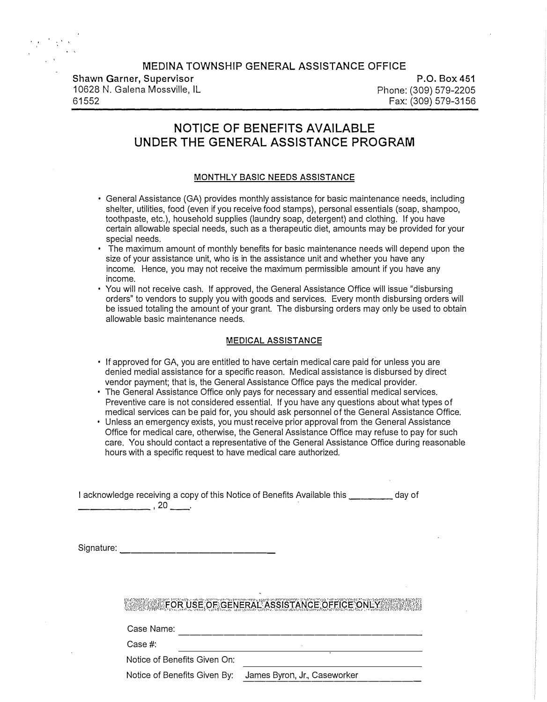| MEDINA TOWNSHIP GENERAL ASSISTANCE OFFICE |        |
|-------------------------------------------|--------|
| <b>Shawn Garner, Supervisor</b>           |        |
| 10628 N. Galena Mossville, IL             | Phone: |
| 61552                                     | Fax:   |

**P.O. Box 451**  Phone: (309) 579-2205 Fax: (309) 579-3156

# **NOTICE OF BENEFITS AVAILABLE UNDER THE GENERAL ASSISTANCE PROGRAM**

#### **MONTHLY BASIC NEEDS ASSISTANCE**

- General Assistance (GA) provides monthly assistance for basic maintenance needs, including shelter, utilities, food (even if you receive food stamps), personal essentials (soap, shampoo, toothpaste, etc.), household supplies (laundry soap, detergent) and clothing. If you have certain allowable special needs, such as a therapeutic diet, amounts may be provided for your special needs.
- The maximum amount of monthly benefits for basic maintenance needs will depend upon the size of your assistance unit, who is in the assistance unit and whether you have any income. Hence, you may not receive the maximum permissible amount if you have any income.
- You will not receive cash. If approved, the General Assistance Office will issue "disbursing orders" to vendors to supply you with goods and services. Every month disbursing orders will be issued totaling the amount of your grant. The disbursing orders may only be used to obtain allowable basic maintenance needs.

#### **MEDICAL ASSISTANCE**

- If approved for GA, you are entitled to have certain medical care paid for unless you are denied medial assistance for a specific reason. Medical assistance is disbursed by direct vendor payment; that is, the General Assistance Office pays the medical provider.
- The General Assistance Office only pays for necessary and essential medical services. Preventive care is not considered essential. If you have any questions about what types of medical services can be paid for, you should ask personnel of the General Assistance Office.
- Unless an emergency exists, you must receive prior approval from the General Assistance Office for medical care, otherwise, the General Assistance Office may refuse to pay for such care. You should contact a representative of the General Assistance Office during reasonable hours with a specific request to have medical care authorized.

I acknowledge receiving a copy of this Notice of Benefits Available this \_\_\_\_\_\_\_\_\_ day of \_\_\_\_\_\_ I **20 \_\_ ,** 

Signature:  $\overline{\phantom{a}}$ 

# **WEIGHT FOR USE OF GENERAL ASSISTANCE OFFICE ONLY AND REALLY ASSISTANCE OF FICE ONLY AND REALLY ASSISTANCE OF**

Case Name: ----------------------

Case#:

Notice of Benefits Given On:

Notice of Benefits Given By: James Byron, Jr., Caseworker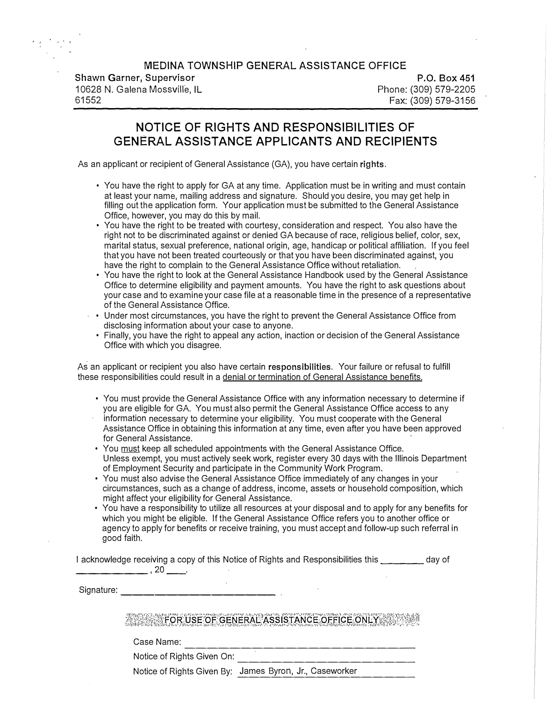**Shawn Garner, Supervisor**  10628 **N.** Galena Mossville, IL 61552

**P.O. Box 451**  Phone: (309) 579-2205 Fax: (309) 579-3156

# **NOTICE OF RIGHTS AND RESPONSIBILITIES OF GENERAL ASSISTANCE APPLICANTS AND RECIPIENTS**

As an applicant or recipient of General Assistance (GA), you have certain **rights.** 

- You have the right to apply for GA at any time. Application must be in writing and must contain at least your name, mailing address and signature. Should you desire, you may get help in filling out the application form. Your application must be submitted to the General Assistance Office, however, you may do this by mail.
- You have the right to be treated with courtesy, consideration and respect. You also have the right not to be discriminated against or denied GA because of race, religious belief, color, sex, marital status, sexual preference, national origin, age, handicap or political affiliation. If you feel that you have not been treated courteously or that you have been discriminated against, you have the right to complain to the General Assistance Office without retaliation.
- You have the right to look at the General Assistance Handbook used by the General Assistance Office to determine eligibility and payment amounts. You have the right to ask questions about your case and to examine your case file at a reasonable time in the presence of a representative of the General Assistance Office.
- Under most circumstances, you have the right to prevent the General Assistance Office from disclosing information about your case to anyone.
	- Finally, you have the right to appeal any action, inaction or decision of the General Assistance Office with which you disagree.

As an applicant or recipient you also have certain **responsibilities.** Your failure or refusal to fulfill these responsibilities could result in a denial or termination of General Assistance benefits.

- You must provide the General Assistance Office with any information necessary to determine if you are eligible for GA. You must also permit the General Assistance Office access to any information necessary to determine your eligibility. You must cooperate with the General Assistance Office in obtaining this information at any time, even after you have been approved for General Assistance.
- You must keep all scheduled appointments with the General Assistance Office. Unless exempt, you must actively seek work, register every 30 days with the Illinois Department of Employment Security and participate in the Community Work Program.
- You must also advise the General Assistance Office immediately of any changes in your circumstances, such as a change of address, income, assets or household composition, which might affect your eligibility for General Assistance.
- You have a responsibility to utilize all resources at your disposal and to apply for any benefits for which you might be eligible. If the General Assistance Office refers you to another office or agency to apply for benefits or receive training, you must accept and follow-up such referral in good faith.

I acknowledge receiving a copy of this Notice of Rights and Responsibilities this we allow that day of **\_\_\_\_\_\_ ,20 \_\_ .** 

Signature: --------------

### **WEST FOR USE OF GENERAL ASSISTANCE OFFICE ONLY AND REAL PROPERTY.**

Case Name: --------------------

Notice of Rights Given On:

Notice of Rights Given By: James Byron, Jr., Caseworker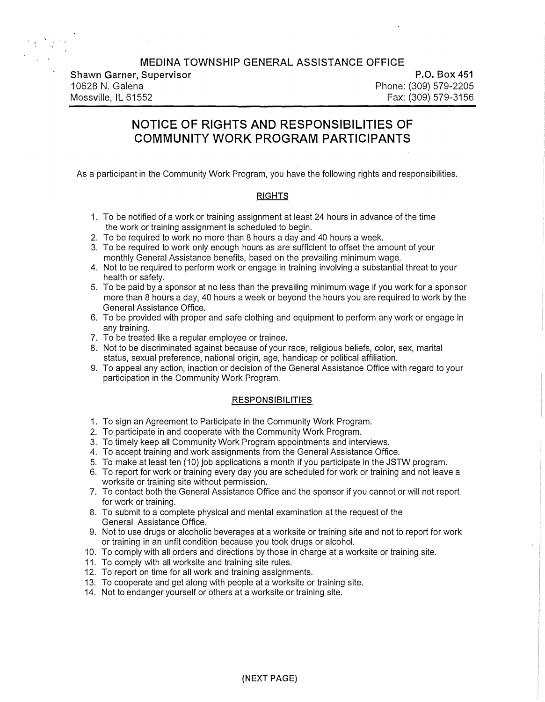**Shawn Garner, Supervisor**  10628 **N.** Galena Mossville, IL 61552

**P.O. Box 451**  Phone: (309) 579-2205 Fax: (309) 579-3156

# **NOTICE OF RIGHTS AND RESPONSIBILITIES OF COMMUNITY WORK PROGRAM PARTICIPANTS**

As a participant in the Community Work Program, you have the following rights and responsibilities.

#### **RIGHTS**

- 1. To be notified of a work or training assignment at least 24 hours in advance of the time the work or training assignment is scheduled to begin.
- 2. To be required to work no more than 8 hours a day and 40 hours a week.
- 3. To be required to work only enough hours as are sufficient to offset the amount of your monthly General Assistance benefits, based on the prevailing minimum wage.
- 4. Not to be required to perform work or engage in training involving a substantial threat to your health or safety.
- 5. To be paid by a sponsor at no less than the prevailing minimum wage if you work for a sponsor more than 8 hours a day, 40 hours a week or beyond the hours you are required to work by the General Assistance Office.
- 6. To be provided with proper and safe clothing and equipment to perform any work or engage in any training.
- 7. To be treated like a regular employee or trainee.
- 8. Not to be discriminated against because of your race, religious beliefs, color, sex, marital status, sexual preference, national origin, age, handicap or political affiliation.
- 9. To appeal any action, inaction or decision of the General Assistance Office with regard to your participation in the Community Work Program.

#### **RESPONSIBILITIES**

- 1. To sign an Agreement to Participate in the Community Work Program.
- 2. To participate in and cooperate with the Community Work Program.
- 3. To timely keep all Community Work Program appointments and interviews.
- 4. To accept training and work assignments from the General Assistance Office.
- 5. To make at least ten (10) job applications a month if you participate in the JSTW program.
- 6. To report for work or training every day you are scheduled for work or training and not leave a worksite or training site without permission.
- 7. To contact both the General Assistance Office and the sponsor if you cannot or will not report for work or training.
- 8. To submit to a complete physical and mental examination at the request of the General Assistance Office.
- 9. Not to use drugs or alcoholic beverages at a worksite or training site and not to report for work or training in an unfit condition because you took drugs or alcohol.
- 10. To comply with all orders and directions by those in charge at a worksite or training site.
- 11. To comply with all worksite and training site rules.
- 12. To report on time for all work and training assignments.
- 13. To cooperate and get along with people at a worksite or training site.
- 14. Not to endanger yourself or others at a worksite or training site.

**(NEXT PAGE)**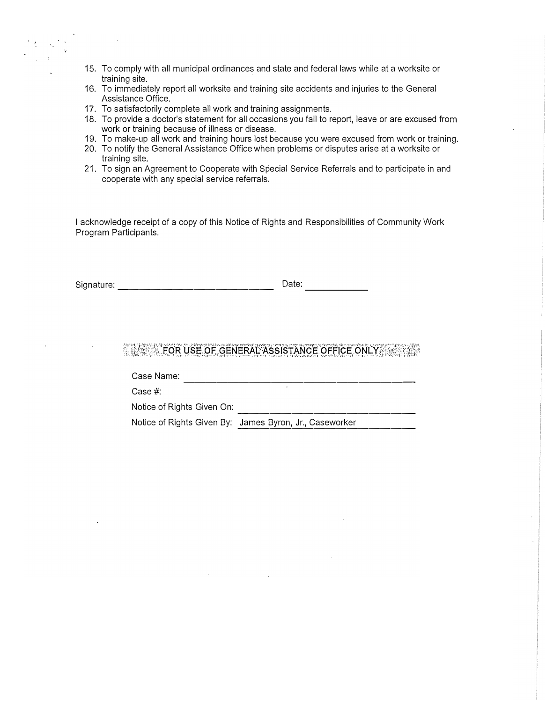- 15. To comply with all municipal ordinances and state and federal laws while at a worksite or training site.
- 16. To immediately report all worksite and training site accidents and injuries to the General Assistance Office.
- 17. To satisfactorily complete all work and training assignments.
- 18. To provide a doctor's statement for all occasions you fail to report, leave or are excused from work or training because of illness or disease.
- 19. To make-up all work and training hours lost because you were excused from work or training.
- 20. To notify the General Assistance Office when problems or disputes arise at a worksite or training site.
- 21. To sign an Agreement to Cooperate with Special Service Referrals and to participate in and cooperate with any special service referrals.

I acknowledge receipt of a copy of this Notice of Rights and Responsibilities of Community Work Program Participants.

Signature: -------------- Date:

# **WARE FOR USE OF GENERAL ASSISTANCE OFFICE ONLY**

Case Name: \_\_\_\_\_\_\_\_\_\_\_\_\_\_\_\_\_\_\_\_

Case#:

---------------- Notice of Rights Given On:

Notice of Rights Given By: James Byron, Jr., Caseworker